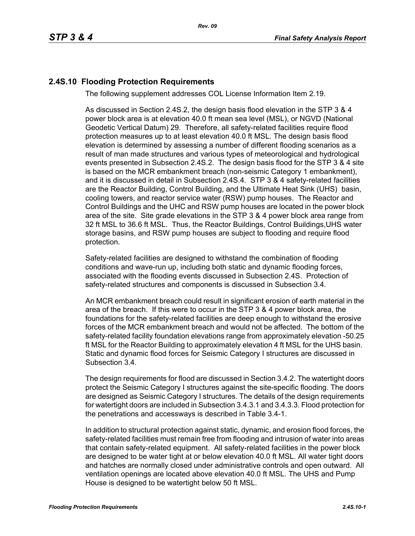## **2.4S.10 Flooding Protection Requirements**

The following supplement addresses COL License Information Item 2.19.

As discussed in Section 2.4S.2, the design basis flood elevation in the STP 3 & 4 power block area is at elevation 40.0 ft mean sea level (MSL), or NGVD (National Geodetic Vertical Datum) 29. Therefore, all safety-related facilities require flood protection measures up to at least elevation 40.0 ft MSL. The design basis flood elevation is determined by assessing a number of different flooding scenarios as a result of man made structures and various types of meteorological and hydrological events presented in Subsection 2.4S.2. The design basis flood for the STP 3 & 4 site is based on the MCR embankment breach (non-seismic Category 1 embankment), and it is discussed in detail in Subsection 2.4S.4. STP 3 & 4 safety-related facilities are the Reactor Building, Control Building, and the Ultimate Heat Sink (UHS) basin, cooling towers, and reactor service water (RSW) pump houses. The Reactor and Control Buildings and the UHC and RSW pump houses are located in the power block area of the site. Site grade elevations in the STP 3 & 4 power block area range from 32 ft MSL to 36.6 ft MSL. Thus, the Reactor Buildings, Control Buildings,UHS water storage basins, and RSW pump houses are subject to flooding and require flood protection.

Safety-related facilities are designed to withstand the combination of flooding conditions and wave-run up, including both static and dynamic flooding forces, associated with the flooding events discussed in Subsection 2.4S. Protection of safety-related structures and components is discussed in Subsection 3.4.

An MCR embankment breach could result in significant erosion of earth material in the area of the breach. If this were to occur in the STP 3 & 4 power block area, the foundations for the safety-related facilities are deep enough to withstand the erosive forces of the MCR embankment breach and would not be affected. The bottom of the safety-related facility foundation elevations range from approximately elevation -50.25 ft MSL for the Reactor Building to approximately elevation 4 ft MSL for the UHS basin. Static and dynamic flood forces for Seismic Category I structures are discussed in Subsection 3.4.

The design requirements for flood are discussed in Section 3.4.2. The watertight doors protect the Seismic Category I structures against the site-specific flooding. The doors are designed as Seismic Category I structures. The details of the design requirements for watertight doors are included in Subsection 3.4.3.1 and 3.4.3.3. Flood protection for the penetrations and accessways is described in Table 3.4-1.

In addition to structural protection against static, dynamic, and erosion flood forces, the safety-related facilities must remain free from flooding and intrusion of water into areas that contain safety-related equipment. All safety-related facilities in the power block are designed to be water tight at or below elevation 40.0 ft MSL. All water tight doors and hatches are normally closed under administrative controls and open outward. All ventilation openings are located above elevation 40.0 ft MSL. The UHS and Pump House is designed to be watertight below 50 ft MSL.